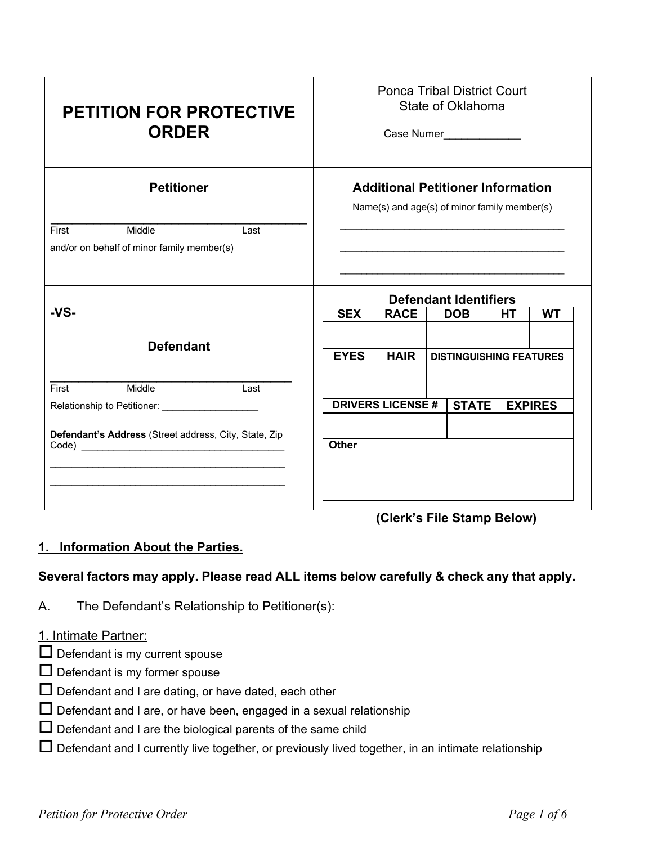| <b>PETITION FOR PROTECTIVE</b><br><b>ORDER</b>                                                                                                                                 | <b>Ponca Tribal District Court</b><br>State of Oklahoma<br>Case Numer______________               |                         |                                                                                                                       |  |                |
|--------------------------------------------------------------------------------------------------------------------------------------------------------------------------------|---------------------------------------------------------------------------------------------------|-------------------------|-----------------------------------------------------------------------------------------------------------------------|--|----------------|
| <b>Petitioner</b>                                                                                                                                                              | <b>Additional Petitioner Information</b><br>Name(s) and age(s) of minor family member(s)          |                         |                                                                                                                       |  |                |
| First<br>Middle<br>Last<br>and/or on behalf of minor family member(s)                                                                                                          |                                                                                                   |                         | <u> 1989 - Johann Stoff, deutscher Stoff, der Stoff, der Stoff, der Stoff, der Stoff, der Stoff, der Stoff, der S</u> |  |                |
| -VS-                                                                                                                                                                           | <b>Defendant Identifiers</b><br><b>SEX</b><br><b>RACE</b><br><b>DOB</b><br><b>HT</b><br><b>WT</b> |                         |                                                                                                                       |  |                |
| <b>Defendant</b>                                                                                                                                                               | <b>EYES</b>                                                                                       | <b>HAIR</b>             | <b>DISTINGUISHING FEATURES</b>                                                                                        |  |                |
| Middle<br>First<br>Last                                                                                                                                                        |                                                                                                   | <b>DRIVERS LICENSE#</b> | <b>STATE</b>                                                                                                          |  | <b>EXPIRES</b> |
| Defendant's Address (Street address, City, State, Zip<br><u> 1989 - Johann John Stone, mars and de final de la provincia de la provincia de la provincia de la provincia d</u> | <b>Other</b>                                                                                      |                         |                                                                                                                       |  |                |

 **(Clerk's File Stamp Below)**

# **1. Information About the Parties.**

## **Several factors may apply. Please read ALL items below carefully & check any that apply.**

A. The Defendant's Relationship to Petitioner(s):

### 1. Intimate Partner:

- $\Box$  Defendant is my current spouse
- $\square$  Defendant is my former spouse
- $\Box$  Defendant and I are dating, or have dated, each other
- $\square$  Defendant and I are, or have been, engaged in a sexual relationship
- $\square$  Defendant and I are the biological parents of the same child
- $\Box$  Defendant and I currently live together, or previously lived together, in an intimate relationship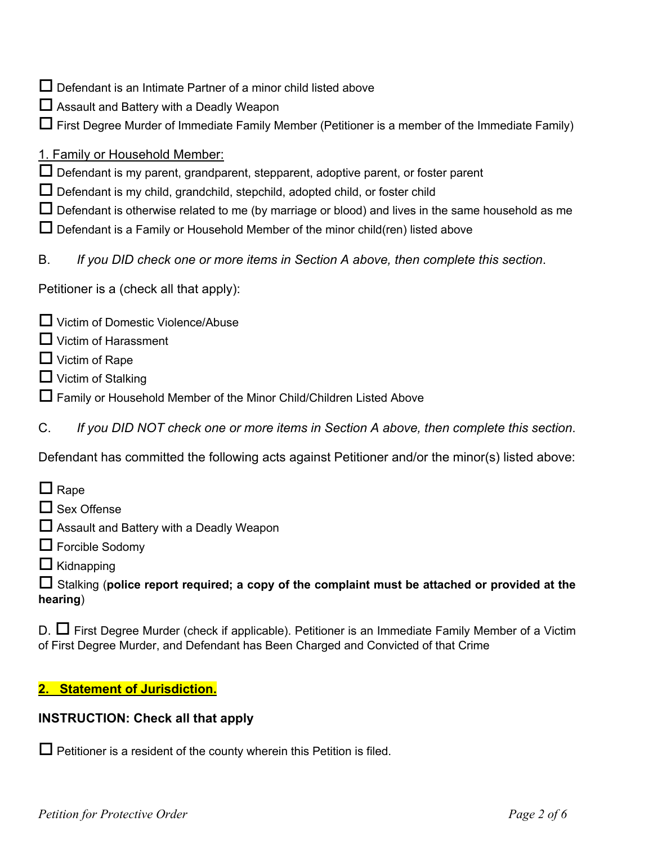- $\Box$  Defendant is an Intimate Partner of a minor child listed above
- $\square$  Assault and Battery with a Deadly Weapon
- $\Box$  First Degree Murder of Immediate Family Member (Petitioner is a member of the Immediate Family)
- 1. Family or Household Member:
- $\Box$  Defendant is my parent, grandparent, stepparent, adoptive parent, or foster parent
- $\Box$  Defendant is my child, grandchild, stepchild, adopted child, or foster child
- $\Box$  Defendant is otherwise related to me (by marriage or blood) and lives in the same household as me
- $\Box$  Defendant is a Family or Household Member of the minor child(ren) listed above
- B. *If you DID check one or more items in Section A above, then complete this section*.

Petitioner is a (check all that apply):

- $\Box$  Victim of Domestic Violence/Abuse
- $\Box$  Victim of Harassment
- $\Box$  Victim of Rape
- $\Box$  Victim of Stalking
- $\Box$  Family or Household Member of the Minor Child/Children Listed Above
- C. *If you DID NOT check one or more items in Section A above, then complete this section*.

Defendant has committed the following acts against Petitioner and/or the minor(s) listed above:

- $\Box$  Rape
- $\Box$  Sex Offense
- $\square$  Assault and Battery with a Deadly Weapon
- $\Box$  Forcible Sodomy
- $\Box$  Kidnapping

o Stalking (**police report required; a copy of the complaint must be attached or provided at the hearing**)

 $D. \Box$  First Degree Murder (check if applicable). Petitioner is an Immediate Family Member of a Victim of First Degree Murder, and Defendant has Been Charged and Convicted of that Crime

## **2. Statement of Jurisdiction.**

### **INSTRUCTION: Check all that apply**

 $\Box$  Petitioner is a resident of the county wherein this Petition is filed.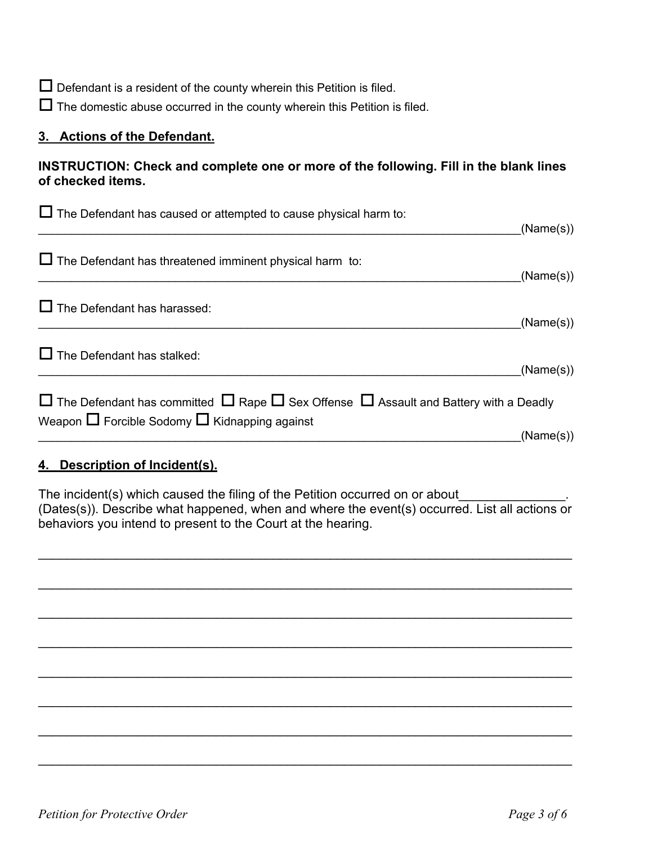$\Box$  Defendant is a resident of the county wherein this Petition is filed.

 $\Box$  The domestic abuse occurred in the county wherein this Petition is filed.

### **3. Actions of the Defendant.**

### **INSTRUCTION: Check and complete one or more of the following. Fill in the blank lines of checked items.**

| $\Box$ The Defendant has caused or attempted to cause physical harm to:                                                                                               | (Name(s)) |
|-----------------------------------------------------------------------------------------------------------------------------------------------------------------------|-----------|
| $\Box$ The Defendant has threatened imminent physical harm to:                                                                                                        | (Name(s)) |
| $\Box$ The Defendant has harassed:                                                                                                                                    | (Name(s)) |
| $\Box$ The Defendant has stalked:                                                                                                                                     | (Name(s)) |
| $\Box$ The Defendant has committed $\Box$ Rape $\Box$ Sex Offense $\Box$ Assault and Battery with a Deadly<br>Weapon $\Box$ Forcible Sodomy $\Box$ Kidnapping against | (Name(s)) |
| 4. Description of Incident(s).                                                                                                                                        |           |

The incident(s) which caused the filing of the Petition occurred on or about (Dates(s)). Describe what happened, when and where the event(s) occurred. List all actions or behaviors you intend to present to the Court at the hearing.

\_\_\_\_\_\_\_\_\_\_\_\_\_\_\_\_\_\_\_\_\_\_\_\_\_\_\_\_\_\_\_\_\_\_\_\_\_\_\_\_\_\_\_\_\_\_\_\_\_\_\_\_\_\_\_\_\_\_\_\_\_\_\_\_\_\_\_\_\_\_\_\_\_\_\_

 $\mathcal{L}_\text{max}$  , and the contribution of the contribution of the contribution of the contribution of the contribution of the contribution of the contribution of the contribution of the contribution of the contribution of t

\_\_\_\_\_\_\_\_\_\_\_\_\_\_\_\_\_\_\_\_\_\_\_\_\_\_\_\_\_\_\_\_\_\_\_\_\_\_\_\_\_\_\_\_\_\_\_\_\_\_\_\_\_\_\_\_\_\_\_\_\_\_\_\_\_\_\_\_\_\_\_\_\_\_\_

\_\_\_\_\_\_\_\_\_\_\_\_\_\_\_\_\_\_\_\_\_\_\_\_\_\_\_\_\_\_\_\_\_\_\_\_\_\_\_\_\_\_\_\_\_\_\_\_\_\_\_\_\_\_\_\_\_\_\_\_\_\_\_\_\_\_\_\_\_\_\_\_\_\_\_

 $\mathcal{L}_\text{max}$  , and the contribution of the contribution of the contribution of the contribution of the contribution of the contribution of the contribution of the contribution of the contribution of the contribution of t

\_\_\_\_\_\_\_\_\_\_\_\_\_\_\_\_\_\_\_\_\_\_\_\_\_\_\_\_\_\_\_\_\_\_\_\_\_\_\_\_\_\_\_\_\_\_\_\_\_\_\_\_\_\_\_\_\_\_\_\_\_\_\_\_\_\_\_\_\_\_\_\_\_\_\_

 $\mathcal{L}_\text{max}$  , and the contribution of the contribution of the contribution of the contribution of the contribution of the contribution of the contribution of the contribution of the contribution of the contribution of t

\_\_\_\_\_\_\_\_\_\_\_\_\_\_\_\_\_\_\_\_\_\_\_\_\_\_\_\_\_\_\_\_\_\_\_\_\_\_\_\_\_\_\_\_\_\_\_\_\_\_\_\_\_\_\_\_\_\_\_\_\_\_\_\_\_\_\_\_\_\_\_\_\_\_\_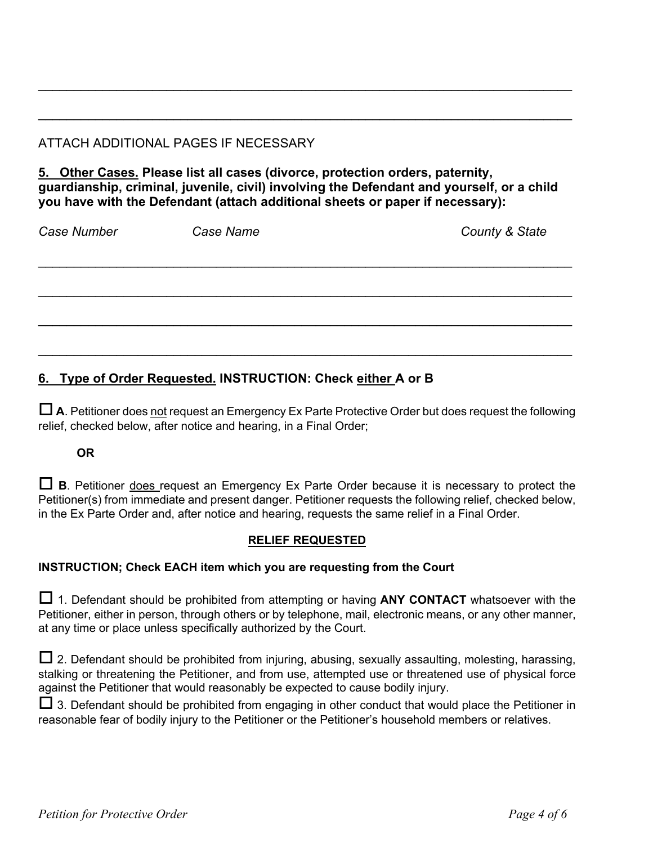# ATTACH ADDITIONAL PAGES IF NECESSARY

**5. Other Cases. Please list all cases (divorce, protection orders, paternity, guardianship, criminal, juvenile, civil) involving the Defendant and yourself, or a child you have with the Defendant (attach additional sheets or paper if necessary):**

\_\_\_\_\_\_\_\_\_\_\_\_\_\_\_\_\_\_\_\_\_\_\_\_\_\_\_\_\_\_\_\_\_\_\_\_\_\_\_\_\_\_\_\_\_\_\_\_\_\_\_\_\_\_\_\_\_\_\_\_\_\_\_\_\_\_\_\_\_\_\_\_\_\_\_

 $\mathcal{L}_\text{max}$  , and the contribution of the contribution of the contribution of the contribution of the contribution of the contribution of the contribution of the contribution of the contribution of the contribution of t

*Case Number Case Name County & State*  $\mathcal{L}_\text{max}$  , and the contribution of the contribution of the contribution of the contribution of the contribution of the contribution of the contribution of the contribution of the contribution of the contribution of t \_\_\_\_\_\_\_\_\_\_\_\_\_\_\_\_\_\_\_\_\_\_\_\_\_\_\_\_\_\_\_\_\_\_\_\_\_\_\_\_\_\_\_\_\_\_\_\_\_\_\_\_\_\_\_\_\_\_\_\_\_\_\_\_\_\_\_\_\_\_\_\_\_\_\_  $\mathcal{L}_\text{max}$  , and the contribution of the contribution of the contribution of the contribution of the contribution of the contribution of the contribution of the contribution of the contribution of the contribution of t \_\_\_\_\_\_\_\_\_\_\_\_\_\_\_\_\_\_\_\_\_\_\_\_\_\_\_\_\_\_\_\_\_\_\_\_\_\_\_\_\_\_\_\_\_\_\_\_\_\_\_\_\_\_\_\_\_\_\_\_\_\_\_\_\_\_\_\_\_\_\_\_\_\_\_

# **6. Type of Order Requested. INSTRUCTION: Check either A or B**

 $\Box$  **A**. Petitioner does not request an Emergency Ex Parte Protective Order but does request the following relief, checked below, after notice and hearing, in a Final Order;

### **OR**

 $\Box$  **B**. Petitioner does request an Emergency Ex Parte Order because it is necessary to protect the Petitioner(s) from immediate and present danger. Petitioner requests the following relief, checked below, in the Ex Parte Order and, after notice and hearing, requests the same relief in a Final Order.

### **RELIEF REQUESTED**

### **INSTRUCTION; Check EACH item which you are requesting from the Court**

 $\Box$  1. Defendant should be prohibited from attempting or having **ANY CONTACT** whatsoever with the Petitioner, either in person, through others or by telephone, mail, electronic means, or any other manner, at any time or place unless specifically authorized by the Court.

 $\Box$  2. Defendant should be prohibited from injuring, abusing, sexually assaulting, molesting, harassing, stalking or threatening the Petitioner, and from use, attempted use or threatened use of physical force against the Petitioner that would reasonably be expected to cause bodily injury.

 $\Box$  3. Defendant should be prohibited from engaging in other conduct that would place the Petitioner in reasonable fear of bodily injury to the Petitioner or the Petitioner's household members or relatives.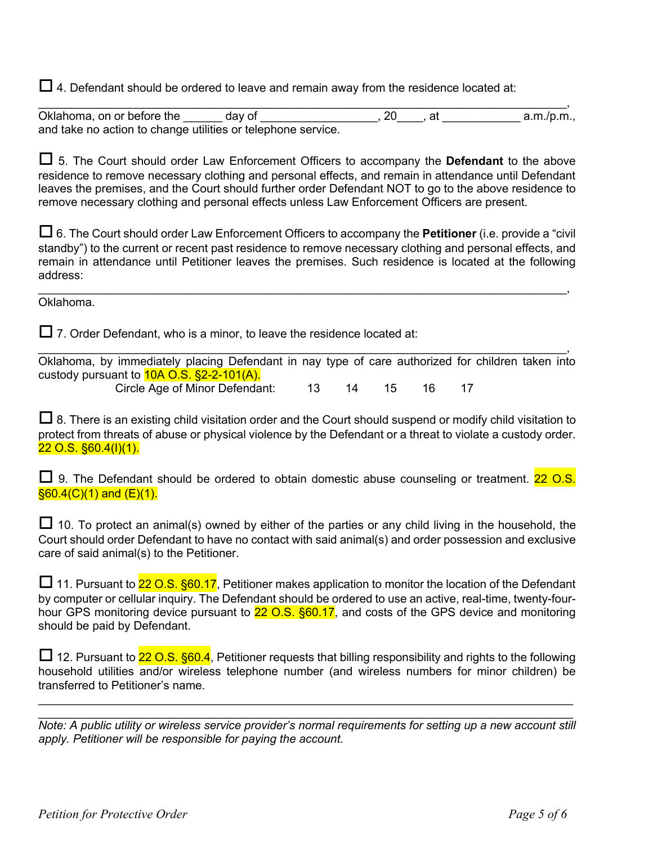$\Box$  4. Defendant should be ordered to leave and remain away from the residence located at:

 $\_$ Oklahoma, on or before the day of example and a.m./p.m., and take no action to change utilities or telephone service.

 $\Box$  5. The Court should order Law Enforcement Officers to accompany the **Defendant** to the above residence to remove necessary clothing and personal effects, and remain in attendance until Defendant leaves the premises, and the Court should further order Defendant NOT to go to the above residence to remove necessary clothing and personal effects unless Law Enforcement Officers are present.

□ 6. The Court should order Law Enforcement Officers to accompany the **Petitioner** (i.e. provide a "civil" standby") to the current or recent past residence to remove necessary clothing and personal effects, and remain in attendance until Petitioner leaves the premises. Such residence is located at the following address:

 $\_$ 

Oklahoma.

 $\Box$  7. Order Defendant, who is a minor, to leave the residence located at:

 $\_$ Oklahoma, by immediately placing Defendant in nay type of care authorized for children taken into custody pursuant to **10A O.S. §2-2-101(A).** 

Circle Age of Minor Defendant: 13 14 15 16 17

 $\Box$  8. There is an existing child visitation order and the Court should suspend or modify child visitation to protect from threats of abuse or physical violence by the Defendant or a threat to violate a custody order. 22 O.S. §60.4(I)(1).

 $\Box$  9. The Defendant should be ordered to obtain domestic abuse counseling or treatment. 22 O.S.  $§60.4(C)(1)$  and  $(E)(1)$ .

 $\Box$  10. To protect an animal(s) owned by either of the parties or any child living in the household, the Court should order Defendant to have no contact with said animal(s) and order possession and exclusive care of said animal(s) to the Petitioner.

 $\Box$  11. Pursuant to 22 O.S. §60.17, Petitioner makes application to monitor the location of the Defendant by computer or cellular inquiry. The Defendant should be ordered to use an active, real-time, twenty-fourhour GPS monitoring device pursuant to 22 O.S. §60.17, and costs of the GPS device and monitoring should be paid by Defendant.

 $\Box$  12. Pursuant to 22 O.S. §60.4, Petitioner requests that billing responsibility and rights to the following household utilities and/or wireless telephone number (and wireless numbers for minor children) be transferred to Petitioner's name.

 $\mathcal{L}_\mathcal{L} = \mathcal{L}_\mathcal{L} = \mathcal{L}_\mathcal{L} = \mathcal{L}_\mathcal{L} = \mathcal{L}_\mathcal{L} = \mathcal{L}_\mathcal{L} = \mathcal{L}_\mathcal{L} = \mathcal{L}_\mathcal{L} = \mathcal{L}_\mathcal{L} = \mathcal{L}_\mathcal{L} = \mathcal{L}_\mathcal{L} = \mathcal{L}_\mathcal{L} = \mathcal{L}_\mathcal{L} = \mathcal{L}_\mathcal{L} = \mathcal{L}_\mathcal{L} = \mathcal{L}_\mathcal{L} = \mathcal{L}_\mathcal{L}$ 

 $\mathcal{L}_\mathcal{L} = \mathcal{L}_\mathcal{L} = \mathcal{L}_\mathcal{L} = \mathcal{L}_\mathcal{L} = \mathcal{L}_\mathcal{L} = \mathcal{L}_\mathcal{L} = \mathcal{L}_\mathcal{L} = \mathcal{L}_\mathcal{L} = \mathcal{L}_\mathcal{L} = \mathcal{L}_\mathcal{L} = \mathcal{L}_\mathcal{L} = \mathcal{L}_\mathcal{L} = \mathcal{L}_\mathcal{L} = \mathcal{L}_\mathcal{L} = \mathcal{L}_\mathcal{L} = \mathcal{L}_\mathcal{L} = \mathcal{L}_\mathcal{L}$ *Note: A public utility or wireless service provider's normal requirements for setting up a new account still apply. Petitioner will be responsible for paying the account.*